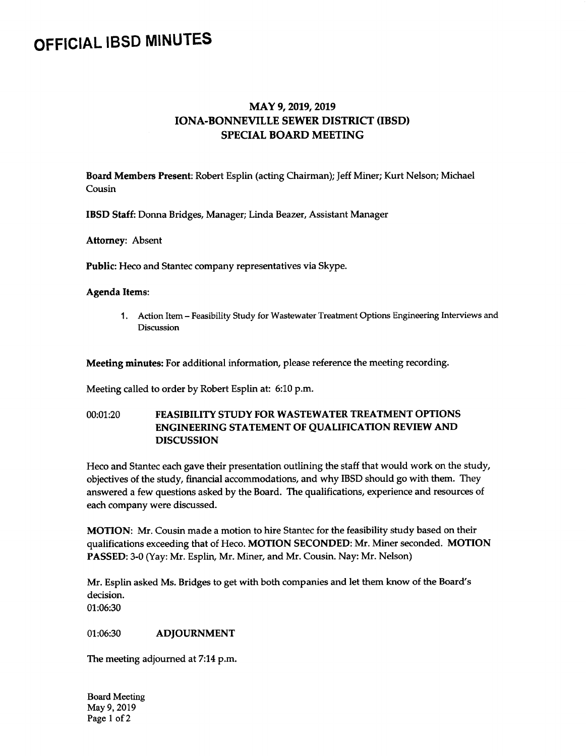## OFFICIAL IBSD MINUTES

## MAY 9, 2019, 2019 IONA-BONNEVILLE SEWER DISTRICT( IBSD) SPECIAL BOARD MEETING

Board Members Present: Robert Esplin (acting Chairman); Jeff Miner; Kurt Nelson; Michael Cousin

IBSD Staff: Donna Bridges, Manager; Linda Beazer, Assistant Manager

Attorney: Absent

Public: Heco and Stantec company representatives via Skype.

## Agenda Items:

1. Action Item- Feasibility Study for Wastewater Treatment Options Engineering Interviews and Discussion

Meeting minutes: For additional information, please reference the meeting recording.

Meeting called to order by Robert Esplin at: 6:10 p.m.

## 00:01:20 FEASIBILITY STUDY FOR WASTEWATER TREATMENT OPTIONS ENGINEERING STATEMENT OF QUALIFICATION REVIEW AND DISCUSSION

Heco and Stantec each gave their presentation outlining the staff that would work on the study, objectives of the study, financial accommodations, and why IBSD should go with them. They answered a few questions asked by the Board. The qualifications, experience and resources of each company were discussed.

MOTION: Mr. Cousin made a motion to hire Stantec for the feasibility study based on their qualifications exceeding that of Heco. MOTION SECONDED: Mr. Miner seconded. MOTION PASSED: 3-0 (Yay: Mr. Esplin, Mr. Miner, and Mr. Cousin. Nay: Mr. Nelson)

Mr. Esplin asked Ms. Bridges to get with both companies and let them know of the Board's decision.

01:06:30

01:06:30 **ADJOURNMENT** 

The meeting adjourned at 7:14 p.m.

Board Meeting May 9, 2019 Page I of 2